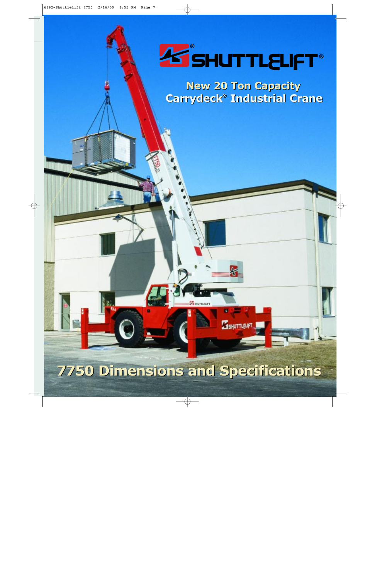

**New 20 Ton Capacity New 20 Ton Capacity Carrydeck® Industrial Crane Carrydeck® Industrial Crane**

**ESHUTTLEUFT** 

# **7750 Dimensions and Specifications 7750 Dimensions and Specifications**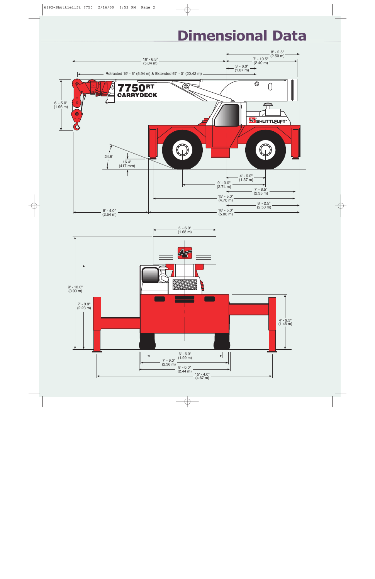# **Dimensional Data**

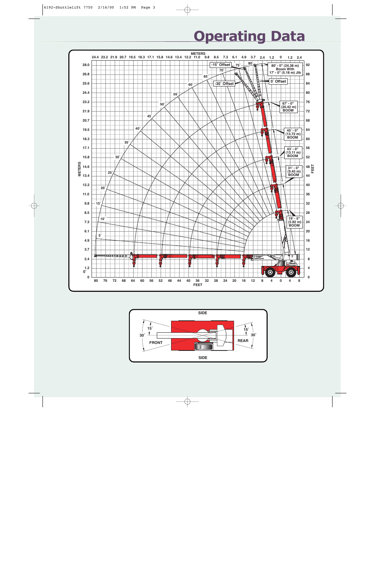# **Operating Data**



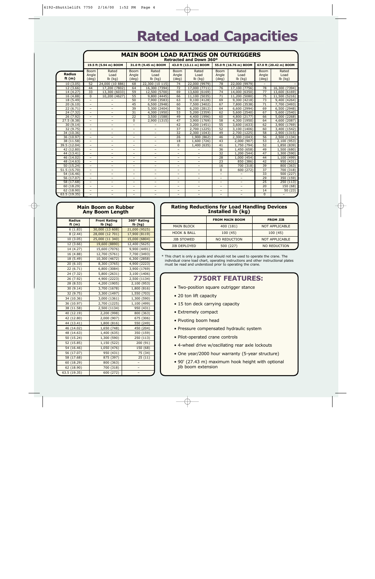# **Rated Load Capacities**

|                           | <b>MAIN BOOM LOAD RATINGS ON OUTRIGGERS</b><br>Retracted and Down 360° |                                                      |                                                      |                                                      |                                                      |                                                      |                                      |                                |                               |                            |
|---------------------------|------------------------------------------------------------------------|------------------------------------------------------|------------------------------------------------------|------------------------------------------------------|------------------------------------------------------|------------------------------------------------------|--------------------------------------|--------------------------------|-------------------------------|----------------------------|
|                           |                                                                        | 19.5 ft (5.94 m) BOOM                                |                                                      | 31.0 ft (9.45 m) BOOM<br>43.0 ft (13.11 m) BOOM      |                                                      | 55.0 ft (16.76 m) BOOM                               |                                      |                                | 67.0 ft (20.42 m) BOOM        |                            |
| <b>Radius</b><br>ft $(m)$ | Boom<br>Angle<br>(deg)                                                 | Rated<br>Load<br>$lb$ (kg)                           | <b>Boom</b><br>Angle<br>(deq)                        | Rated<br>Load<br>$lb$ (kg)                           | <b>Boom</b><br>Angle<br>(deq)                        | Rated<br>Load<br>$lb$ (kg)                           | <b>Boom</b><br>Angle<br>(deq)        | Rated<br>Load<br>$lb$ (kg)     | <b>Boom</b><br>Angle<br>(deq) | Rated<br>Load<br>$lb$ (kg) |
| 10(3.05)                  | 52                                                                     | 24,000 (10 886)                                      | 68                                                   | 22,300 (10 115)                                      | 74                                                   | 22,000 (9979)                                        | 78                                   | 22,000 (9979)                  |                               |                            |
| 12(3.66)                  | 44                                                                     | 17,200 (7802)                                        | 64                                                   | 16,300 (7394)                                        | 72                                                   | 17,000 (7711)                                        | 76                                   | 17,100 (7756)                  | 78                            | 16,300 (7394)              |
| 14 (4.27)                 | 33                                                                     | 13,300 (6033)                                        | 59                                                   | 12,500 (5700)                                        | 69                                                   | 13,600 (6169)                                        | 74                                   | 14,000 (6350)                  | 77                            | 13,600 (6169)              |
| 16 (4.88)                 | $\Omega$                                                               | 10,200 (4627)                                        | 55                                                   | 9,800 (4445)                                         | 66                                                   | 11,100 (5035)                                        | 71                                   | 11,200 (5080)                  | 75                            | 11,500 (5216)              |
| 18 (5.49)                 | $\overline{\phantom{a}}$                                               |                                                      | 50                                                   | 7,900 (3583)                                         | 63                                                   | 9,100 (4128)                                         | 69                                   | 9,300 (4218)                   | 73                            | 9,400 (4264)               |
| 20(6.10)                  | $\overline{\phantom{a}}$                                               | $\overline{\phantom{0}}$                             | 45                                                   | 6,500 (2948)                                         | 60                                                   | 7,500 (3402)                                         | 67                                   | 7,800 (3538)                   | 71                            | 7,700 (3493)               |
| 22(6.71)                  | $\overline{\phantom{a}}$                                               | $\overline{\phantom{0}}$                             | 39                                                   | 5,300 (2404)                                         | 56                                                   | 6,200(2812)                                          | 64                                   | 6,600 (2994)                   | 69                            | 6,500 (2948)               |
| 24 (7.32)                 | $\overline{\phantom{a}}$                                               | $\overline{a}$                                       | 31                                                   | 4,300 (1950)                                         | 53                                                   | 5,200 (2359)                                         | 62                                   | 5,600 (2540)                   | 67                            | 5,600 (2540)               |
| 26 (7.92)                 | $\overline{\phantom{a}}$                                               | $\overline{\phantom{0}}$                             | 22                                                   | 3,500 (1588)                                         | 49                                                   | 4,400 (1996)                                         | 60                                   | 4,800 (2177)                   | 66                            | 5,000 (2268)               |
| 27.5 (8.38)               | $\qquad \qquad -$                                                      | $\overline{\phantom{m}}$                             | $\Omega$                                             | 2,900 (1315)                                         | 47                                                   | 3,900 (1769)                                         | 58                                   | 4,300 (1950)                   | 64                            | 4,600 (2087)               |
| 30(9.14)                  | $\overline{\phantom{0}}$                                               | $\overline{\phantom{0}}$                             | $\overline{\phantom{0}}$                             |                                                      | 42                                                   | 3,200 (1451)                                         | $\overline{55}$                      | 3,600 (1633)                   | 62                            | 3,900 (1769)               |
| 32(9.75)                  | $\overline{\phantom{a}}$                                               | $\overline{\phantom{0}}$                             | $\overline{\phantom{0}}$                             | $\overline{\phantom{0}}$                             | $\overline{37}$                                      | 2,700 (1225)                                         | 52                                   | 3,100 (1406)                   | 60                            | 3,400 (1542)               |
| 34 (10.36)                | $\overline{\phantom{a}}$                                               | $\overline{\phantom{m}}$                             | -                                                    |                                                      | $\overline{32}$                                      | 2,300 (1043)                                         | 49                                   | 2,700 (1225)                   | $\overline{58}$               | 2,900 (1315)               |
| 36 (10.97)                | $\overline{\phantom{a}}$                                               | $\overline{\phantom{m}}$                             | $\overline{\phantom{0}}$                             |                                                      | 26                                                   | 1,900 (862)                                          | 46                                   | 2,300 (1043)                   | 56                            | 2,500 (1134)               |
| 38 (11.58)                |                                                                        | $\overline{\phantom{0}}$                             | $\overline{\phantom{0}}$                             |                                                      | 18                                                   | 1,600<br>(726)                                       | 43                                   | 2,000 (907)                    | 53                            | 2,100 (953)                |
| 39.5 (12.04)              |                                                                        | $\overline{\phantom{0}}$                             | $\overline{\phantom{0}}$                             | $\overline{\phantom{0}}$                             | $\Omega$                                             | 1,400 (635)                                          | 41                                   | 1,750 (794)                    | 52                            | 1,850 (839)                |
| 42 (12.80)                |                                                                        |                                                      | $\overline{\phantom{0}}$                             |                                                      |                                                      |                                                      | 36                                   | 1,450 (658)                    | 49                            | 1,500<br>(680)             |
| 44 (13.41)                |                                                                        | $\overline{\phantom{m}}$                             | $\qquad \qquad -$                                    | $\overline{\phantom{0}}$                             | $\qquad \qquad -$                                    |                                                      | 32                                   | 1,200 (544)                    | 47                            | 1,300 (590)                |
| 46 (14.02)                |                                                                        | $\qquad \qquad -$                                    | $\qquad \qquad -$                                    | $\qquad \qquad -$                                    | $\qquad \qquad -$                                    | $\overline{\phantom{a}}$                             | 28                                   | 1,000 (454)                    | 44                            | (499)<br>1,100             |
| 48 (14.63)                | $\overline{\phantom{a}}$                                               | $\overline{\phantom{0}}$                             | $\overline{\phantom{a}}$                             | $\overline{\phantom{0}}$                             | $\overline{\phantom{0}}$                             |                                                      | 23                                   | 850 (386)                      | 42                            | 950<br>(431)               |
| 50 (15.24)                | $\overline{\phantom{m}}$                                               | $\overline{\phantom{0}}$                             | $\qquad \qquad -$                                    | $\overline{\phantom{a}}$                             | $\overline{\phantom{0}}$                             | $\qquad \qquad -$                                    | 16                                   | 700 (318)                      | 39<br>37                      | 800<br>(363)               |
| 51.5 (15.70)              | $\overline{\phantom{a}}$<br>$\overline{\phantom{a}}$                   | $\overline{\phantom{0}}$<br>$\overline{\phantom{0}}$ | $\overline{\phantom{a}}$<br>$\overline{\phantom{a}}$ | $\overline{\phantom{0}}$<br>$\overline{\phantom{a}}$ | $\overline{\phantom{0}}$<br>$\overline{\phantom{0}}$ | $\overline{\phantom{a}}$<br>$\overline{\phantom{a}}$ | $\Omega$<br>$\overline{\phantom{0}}$ | 600 (272)<br>$\qquad \qquad -$ | 33                            | (318)<br>700               |
| 54 (16.46)<br>56 (17.07)  | $\overline{\phantom{a}}$                                               | $\overline{\phantom{0}}$                             | $\overline{\phantom{a}}$                             | $\overline{\phantom{0}}$                             | $\overline{\phantom{0}}$                             | $\overline{\phantom{a}}$                             | $\overline{\phantom{0}}$             | $\overline{\phantom{0}}$       | 29                            | 500 (227)<br>350 (159)     |
| 58 (17.68)                | $\overline{\phantom{a}}$                                               | $\overline{\phantom{0}}$                             | $\overline{\phantom{a}}$                             | $\overline{\phantom{0}}$                             | $\overline{\phantom{0}}$                             | $\overline{\phantom{a}}$                             | $\overline{\phantom{0}}$             | $\overline{\phantom{0}}$       | 25                            | 250 (113)                  |
| 60 (18.29)                | $\overline{\phantom{a}}$                                               | $\overline{\phantom{0}}$                             | $\overline{\phantom{0}}$                             | $\overline{\phantom{0}}$                             | $\overline{\phantom{0}}$                             | $\overline{\phantom{a}}$                             | $\overline{\phantom{0}}$             | $\overline{\phantom{0}}$       | $\overline{20}$               | 150(68)                    |
| 62(18.90)                 | $\overline{\phantom{a}}$                                               | $\overline{\phantom{0}}$                             | $\overline{\phantom{0}}$                             |                                                      | $\overline{\phantom{0}}$                             | $\overline{\phantom{0}}$                             | $\overline{\phantom{0}}$             |                                | 14                            | 50(23)                     |
| 63.5(19.35)               | $\overline{\phantom{a}}$                                               |                                                      | $\overline{\phantom{0}}$                             |                                                      | $\overline{\phantom{0}}$                             |                                                      | -                                    |                                | $\Omega$                      |                            |

#### **Main Boom on Rubber Any Boom Length**

| <b>Radius</b><br>ft $(m)$ | <b>Front Rating</b><br>$Ib$ (kg) | 360° Rating<br>lb (kg) |
|---------------------------|----------------------------------|------------------------|
| 6(1.83)                   | 30,000 (13 608)                  | 21,000 (9525)          |
| 8(2.44)                   | 28,000 (12 701)                  | 17,900 (8119)          |
| 10(3.05)                  | 25,000 (11 340)                  | 15,000 (6804)          |
| 12(3.66)                  | 19,600 (8890)                    | 12,400 (5625)          |
| 14 (4.27)                 | 15,600 (7076)                    | 9,900 (4491)           |
| 16 (4.88)                 | 12,700 (5761)                    | 7,700 (3493)           |
| 18 (5.49)                 | 10,300 (4672)                    | 6,300 (2858)           |
| 20(6.10)                  | 8,300 (3765)                     | 4,900 (2223)           |
| 22(6.71)                  | 6,800 (3084)                     | 3,900 (1769)           |
| 24 (7.32)                 | 5,800 (2631)                     | 3,100 (1406)           |
| 26 (7.92)                 | 4,900 (2223)                     | 2,500 (1134)           |
| 28 (8.53)                 | 4,200 (1905)                     | 2,100 (953)            |
| 30(9.14)                  | 3,700 (1678)                     | 1,800(816)             |
| 32 (9.75)                 | 3,300 (1497)                     | 1,550 (703)            |
| 34 (10.36)                | 3,000 (1361)                     | 1,300 (590)            |
| 36 (10.97)                | 2,700 (1225)                     | 1,100 (499)            |
| 38 (11.58)                | 2,500 (1134)                     | 950 (431)              |
| 40 (12.19)                | 2,200 (998)                      | 800 (363)              |
| 42 (12.80)                | 2,000 (907)                      | 675 (306)              |
| 44 (13.41)                | 1,800 (816)                      | 550 (249)              |
| 46 (14.02)                | 1,650 (748)                      | 450 (204)              |
| 48 (14.63)                | 1,400 (635)                      | 350 (159)              |
| 50 (15.24)                | 1,300 (590)                      | 250 (113)              |
| 52 (15.85)                | 1,150 (522)                      | 200(91)                |
| 54 (16.46)                | 1,050 (476)                      | 150 (68)               |
| 56 (17.07)                | 950 (431)                        | 75 (34)                |
| 58(17.68)                 | 875(397)                         | 25(11)                 |
| 60 (18.29)                | 800 (363)                        |                        |
| 62 (18.90)                | 700 (318)                        |                        |
| 63.5 (19.35)              | 600 (272)                        |                        |

#### **Rating Reductions for Load Handling Devices Installed lb (kg)**

|                        | <b>FROM MAIN BOOM</b> | <b>FROM JIB</b>       |  |  |  |  |
|------------------------|-----------------------|-----------------------|--|--|--|--|
| <b>MAIN BLOCK</b>      | 400 (181)             | <b>NOT APPLICABLE</b> |  |  |  |  |
| <b>HOOK &amp; BALL</b> | 100(45)               | 100(45)               |  |  |  |  |
| <b>JIB STOWED</b>      | NO REDUCTION          | <b>NOT APPLICABLE</b> |  |  |  |  |
| <b>JIB DEPLOYED</b>    | 500 (227)             | NO REDUCTION          |  |  |  |  |

\* This chart is only a guide and should not be used to operate the crane. The individual crane load chart, operating instructions and other instructional plates must be read and understood prior to operating the crane.

# **7750RT FEATURES:**

- Two-position square outrigger stance
- 20 ton lift capacity
- 15 ton deck carrying capacity
- Extremely compact
- Pivoting boom head
- Pressure compensated hydraulic system
- Pilot-operated crane controls
- 4-wheel drive w/oscillating rear axle lockouts
- One year/2000 hour warranty (5-year structure)
- 90' (27.43 m) maximum hook height with optional jib boom extension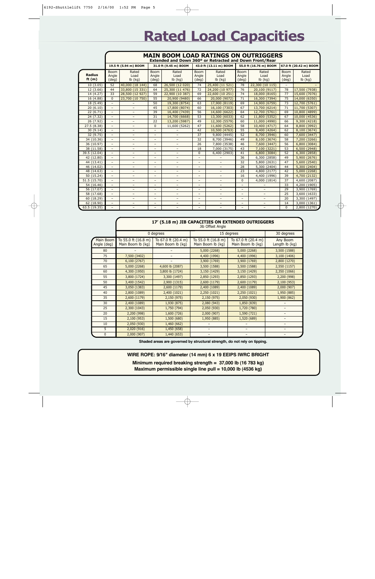# **Rated Load Capacities**

|                           | <b>MAIN BOOM LOAD RATINGS ON OUTRIGGERS</b><br>Extended and Down 360° or Retracted and Down Front/Rear |                            |                               |                            |                               |                            |                               |                            |                               |                            |  |
|---------------------------|--------------------------------------------------------------------------------------------------------|----------------------------|-------------------------------|----------------------------|-------------------------------|----------------------------|-------------------------------|----------------------------|-------------------------------|----------------------------|--|
|                           |                                                                                                        | 19.5 ft (5.94 m) BOOM      |                               | 31.0 ft (9.45 m) BOOM      | 43.0 ft (13.11 m) BOOM        |                            |                               | 55.0 ft (16.76 m) BOOM     |                               | 67.0 ft (20.42 m) BOOM     |  |
| <b>Radius</b><br>ft $(m)$ | <b>Boom</b><br>Angle<br>(deq)                                                                          | Rated<br>Load<br>$lb$ (kg) | <b>Boom</b><br>Angle<br>(deq) | Rated<br>Load<br>$lb$ (kg) | <b>Boom</b><br>Angle<br>(deq) | Rated<br>Load<br>$lb$ (kg) | <b>Boom</b><br>Angle<br>(deq) | Rated<br>Load<br>$lb$ (kg) | <b>Boom</b><br>Angle<br>(deq) | Rated<br>Load<br>$lb$ (kg) |  |
| 10(3.05)                  | 52                                                                                                     | 40,000 (18 144)            | 68                            | 26,500 (12 020)            | 74                            | 25,400 (11 521)            | 78                            | 22,300 (10 115)            |                               |                            |  |
| 12(3.66)                  | 44                                                                                                     | 33,800 (15 331)            | 64                            | 25,300 (11 476)            | 72                            | 24,200 (10 977)            | 76                            | 20,100 (9117)              | 78                            | 17,500 (7938)              |  |
| 14 (4.27)                 | 33                                                                                                     | 28,500 (12 927)            | 59                            | 22,900 (10 387)            | 69                            | 22,600 (10 251)            | 74                            | 18,000 (8165)              | 77                            | 15,600 (7076)              |  |
| 16 (4.88)                 | $\Omega$                                                                                               | 23,700 (10 750)            | 55                            | 20,900 (9480)              | 66                            | 20,000 (9072)              | 71                            | 16,300 (7394)              | 75                            | 14,000 (6350)              |  |
| 18 (5.49)                 | $\overline{\phantom{0}}$                                                                               | $\overline{\phantom{a}}$   | 50                            | 19,300 (8754)              | 63                            | 17,900 (8119)              | 69                            | 14,900 (6759)              | 73                            | 12,700<br>(5761)           |  |
| 20(6.10)                  | $\overline{a}$                                                                                         | $\overline{\phantom{0}}$   | 45                            | 17,800 (8074)              | 60                            | 16,100 (7303)              | 67                            | 13,700 (6214)              | $\overline{71}$               | 11,700<br>(5307)           |  |
| 22(6.71)                  | $\frac{1}{2}$                                                                                          | $\equiv$                   | 39                            | 16,400 (7439)              | 56                            | 14,600 (6622)              | 64                            | 12,700 (5761)              | 69                            | 10,800 (4899)              |  |
| 24(7.32)                  | $\qquad \qquad -$                                                                                      | $\qquad \qquad -$          | 31                            | 14,700 (6668)              | 53                            | 13,300 (6033)              | 62                            | 11,800 (5352)              | 67                            | 10,000 (4536)              |  |
| 26 (7.92)                 | $\overline{\phantom{0}}$                                                                               | $\overline{\phantom{0}}$   | 22                            | 13,200 (5987)              | 49                            | 12,300 (5579)              | 60                            | 11,000 (4990)              | 66                            | 9,300 (4218)               |  |
| 27.5(8.38)                | $\qquad \qquad -$                                                                                      | $\qquad \qquad -$          | $\Omega$                      | 11,600 (5262)              | 47                            | 11,600 (5262)              | 58                            | 10,400 (4717)              | 64                            | 8,800 (3992)               |  |
| 30(9.14)                  | $\overline{\phantom{a}}$                                                                               | $\qquad \qquad -$          | $\qquad \qquad -$             |                            | 42                            | 10,500 (4763)              | 55                            | 9,400 (4264)               | 62                            | 8,100 (3674)               |  |
| 32 (9.75)                 | $\overline{\phantom{a}}$                                                                               | $\overline{\phantom{0}}$   | $\overline{\phantom{0}}$      | $\overline{\phantom{a}}$   | 37                            | 9,800 (4445)               | 52                            | 8,700 (3946)               | 60                            | 7,600 (3447)               |  |
| 34 (10.36)                | $\overline{\phantom{0}}$                                                                               | $\overline{\phantom{m}}$   | $\overline{\phantom{0}}$      | $\overline{\phantom{a}}$   | 32                            | 8,700 (3946)               | 49                            | 8,100 (3674)               | 58                            | 7,200 (3266)               |  |
| 36 (10.97)                | $\overline{\phantom{a}}$                                                                               | $\overline{\phantom{0}}$   | $\overline{\phantom{0}}$      | $\overline{\phantom{a}}$   | 26                            | 7,800 (3538)               | 46                            | 7,600 (3447)               | 56                            | 6,800 (3084)               |  |
| 38 (11.58)                | $\overline{\phantom{a}}$                                                                               | $\overline{\phantom{a}}$   |                               |                            | 18                            | 7,000 (3175)               | 43                            | 7,100 (3221)               | 53                            | 6,500 (2948)               |  |
| 39.5 (12.04)              | $\overline{\phantom{0}}$                                                                               | $\overline{\phantom{a}}$   |                               | $\overline{\phantom{m}}$   | $\Omega$                      | 6,400 (2903)               | 41                            | 6,800 (3084)               | 52                            | 6,300 (2858)               |  |
| 42 (12.80)                | $\qquad \qquad -$                                                                                      | $\overline{a}$             | $\qquad \qquad -$             | $\overline{\phantom{m}}$   | $\overline{\phantom{0}}$      |                            | 36                            | 6,300 (2858)               | 49                            | 5,900 (2676)               |  |
| 44 (13.41)                | $\overline{\phantom{0}}$                                                                               | $\overline{\phantom{a}}$   | $\qquad \qquad -$             | $\overline{\phantom{a}}$   | $\overline{\phantom{a}}$      | $\overline{\phantom{a}}$   | 32                            | 5,800 (2631)               | 47                            | 5,600 (2540)               |  |
| 46 (14.02)                | $\overline{\phantom{a}}$                                                                               | $\overline{\phantom{a}}$   | $\qquad \qquad -$             | $\overline{\phantom{a}}$   | $\overline{\phantom{m}}$      | $\qquad \qquad -$          | 28                            | 5,300 (2404)               | 44                            | 5,300 (2404)               |  |
| 48 (14.63)                | $\overline{\phantom{0}}$                                                                               | $\overline{\phantom{a}}$   | $\overline{\phantom{0}}$      | $\overline{\phantom{a}}$   | $\equiv$                      | $\overline{\phantom{a}}$   | 23                            | 4,800 (2177)               | 42                            | 5,000 (2268)               |  |
| 50 (15.24)                | $\overline{\phantom{0}}$                                                                               | $\overline{\phantom{0}}$   |                               |                            | $\overline{\phantom{0}}$      | $\overline{\phantom{0}}$   | 16                            | 4,400 (1996)               | 39                            | 4,700 (2132)               |  |
| 51.5 (15.70)              | $\overline{\phantom{a}}$                                                                               | $\overline{\phantom{0}}$   | $\overline{\phantom{0}}$      | $\overline{\phantom{a}}$   | $\overline{\phantom{a}}$      | $\overline{\phantom{0}}$   | $\Omega$                      | 4,000 (1814)               | 37                            | 4,600 (2087)               |  |
| 54 (16.46)                | $\overline{\phantom{0}}$                                                                               | $\overline{\phantom{m}}$   | $\qquad \qquad -$             |                            | $\overline{\phantom{0}}$      | $\qquad \qquad -$          |                               |                            | 33                            | 4,200 (1905)               |  |
| 56 (17.07)                | $\overline{a}$                                                                                         | $\overline{\phantom{a}}$   |                               | $\overline{\phantom{0}}$   | $\overline{\phantom{0}}$      | $\overline{\phantom{a}}$   |                               | $\overline{a}$             | 29                            | 3,900 (1769)               |  |
| 58 (17.68)                |                                                                                                        |                            |                               |                            | $\overline{\phantom{0}}$      |                            |                               |                            | 25                            | 3,600 (1633)               |  |
| 60 (18.29)                | $\overline{\phantom{a}}$                                                                               | $\qquad \qquad -$          | $\qquad \qquad -$             |                            | $\overline{\phantom{m}}$      | $\qquad \qquad -$          | $\qquad \qquad -$             | $\qquad \qquad -$          | 20                            | 3,300 (1497)               |  |
| 62 (18.90)                | $\overline{\phantom{a}}$                                                                               | $\overline{\phantom{0}}$   | $\overline{\phantom{0}}$      | $\overline{\phantom{a}}$   | $\overline{\phantom{a}}$      | $\overline{\phantom{0}}$   | $\overline{\phantom{0}}$      | $\overline{\phantom{0}}$   | 14                            | 3,000 (1361)               |  |
| 63.5 (19.35)              | $\overline{\phantom{0}}$                                                                               | $\overline{\phantom{0}}$   | $-$                           | $\overline{\phantom{a}}$   | $\frac{1}{2}$                 |                            | $-$                           | $\overline{\phantom{a}}$   | $\Omega$                      | 2,800 (1270)               |  |

|                          | 17' (5.18 m) JIB CAPACITIES ON EXTENDED OUTRIGGERS<br>Jib Offset Angle |                                          |                                          |                                          |                            |  |  |  |
|--------------------------|------------------------------------------------------------------------|------------------------------------------|------------------------------------------|------------------------------------------|----------------------------|--|--|--|
|                          |                                                                        | 0 degrees                                |                                          | 15 degrees                               | 30 degrees                 |  |  |  |
| Main Boom<br>Angle (deg) | To 55.0 ft (16.8 m)<br>Main Boom lb (kg)                               | To 67.0 ft (20.4 m)<br>Main Boom lb (kg) | To 55.0 ft (16.8 m)<br>Main Boom lb (kg) | To 67.0 ft (20.4 m)<br>Main Boom lb (kg) | Any Boom<br>Length lb (kg) |  |  |  |
| 80                       |                                                                        |                                          | 5,000 (2268)                             | 5,000 (2268)                             | 3,500 (1588)               |  |  |  |
| 75                       | 7,500 (3402)                                                           |                                          | 4,400 (1996)                             | 4,400 (1996)                             | 3,100 (1406)               |  |  |  |
| 70                       | 6,100 (2767)                                                           |                                          | 3,900 (1769)                             | 3,900 (1769)                             | 2,800 (1270)               |  |  |  |
| 65                       | 5,000 (2268)                                                           | 4,600 lb (2087)                          | 3,500 (1588)                             | 3,500 (1588)                             | 2,550 (1157)               |  |  |  |
| 60                       | 4,300 (1950)                                                           | 3,800 lb (1724)                          | 3,150 (1429)                             | 3,150 (1429)                             | 2,350 (1066)               |  |  |  |
| 55                       | 3,800 (1724)                                                           | 3,300 (1497)                             | 2,850 (1293)                             | 2,850 (1293)                             | 2,200 (998)                |  |  |  |
| 50                       | 3,400 (1542)                                                           | 2,900 (1315)                             | 2,600 (1179)                             | 2,600 (1179)                             | 2,100 (953)                |  |  |  |
| 45                       | 3,050 (1383)                                                           | 2,600 (1179)                             | 2,400 (1089)                             | 2,400 (1089)                             | 2,000 (907)                |  |  |  |
| 40                       | 2,800 (1089)                                                           | 2,400 (1021)                             | 2,250 (1021)                             | 2,250 (1021)                             | 1,950 (885)                |  |  |  |
| 35                       | 2,600 (1179)                                                           | 2,150 (975)                              | 2,150 (975)                              | 2,050 (930)                              | 1,900 (862)                |  |  |  |
| 30                       | 2,400 (1089)                                                           | 1,930 (875)                              | 2,080 (943)                              | 1,850 (839)                              |                            |  |  |  |
| 25                       | 2,300 (1043)                                                           | 1,750 (794)                              | 2,050 (930)                              | 1,720 (780)                              |                            |  |  |  |
| 20                       | 2,200 (998)                                                            | 1,600 (726)                              | 2,000 (907)                              | 1,590 (721)                              | -                          |  |  |  |
| 15                       | 2,100 (953)                                                            | 1,500 (680)                              | 1,950 (885)                              | 1,520 (689)                              |                            |  |  |  |
| 10                       | 2,050 (930)                                                            | 1,460 (662)                              |                                          |                                          |                            |  |  |  |
| 5                        | 2,020 (916)                                                            | 1,450 (658)                              |                                          |                                          |                            |  |  |  |
| $\pmb{0}$                | 2,000 (907)                                                            | 1,440 (653)                              |                                          |                                          |                            |  |  |  |

**Shaded areas are governed by structural strength, do not rely on tipping.**

**WIRE ROPE: 9/16" diameter (14 mm) 6 x 19 EEIPS IWRC BRIGHT**

**Minimum required breaking strength = 37,000 lb (16 783 kg) Maximum permissible single line pull = 10,000 lb (4536 kg)**